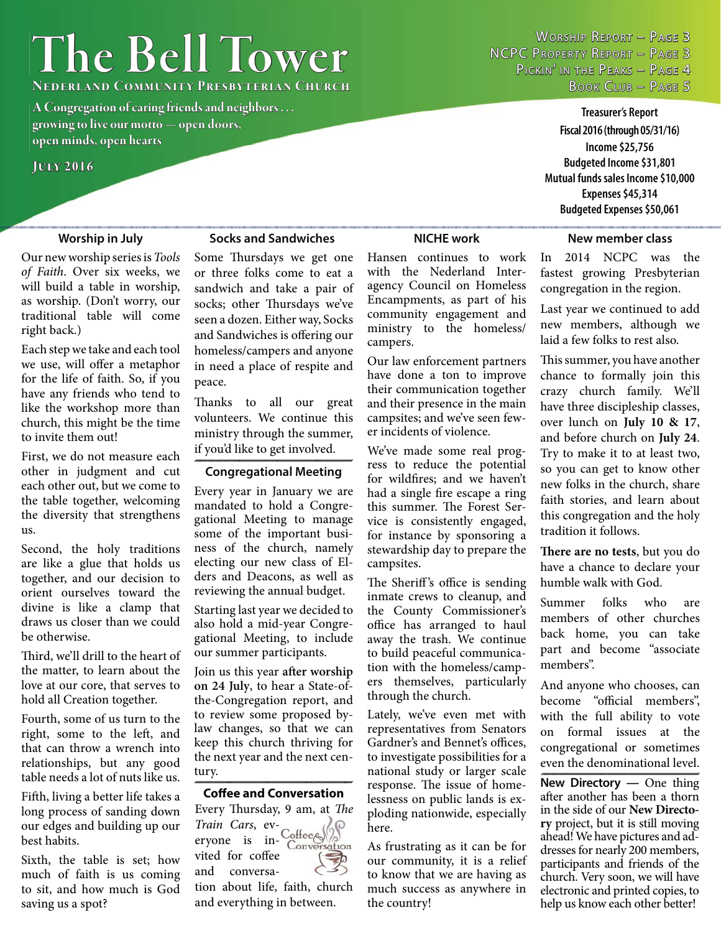# **The Bell Tower**

**Nederland Community Presbyterian Church ederland** 

**A Congregation of caring friends and neighbors . . . growing to live our motto — open doors, rowing live open minds, open hearts pen** 

### **July 2016 uly**

WORSHIP REPORT - PAGE 3 NCPC PROPERTY REPORT - PAGE 3 PICKIN' IN THE PEAKS - PAGE 4 BOOK CLUB - PAGE 5

> **Treasurer's Report Fiscal 2016 (through 05/31/16) Income \$25,756 Budgeted Income \$31,801 Mutual funds sales Income \$10,000 Expenses \$45,314 Budgeted Expenses \$50,061**

### **Worship in July Socks and Sandwiches**

### Our new worship series is *Tools of Faith*. Over six weeks, we will build a table in worship, as worship. (Don't worry, our traditional table will come right back.)

Each step we take and each tool we use, will offer a metaphor for the life of faith. So, if you have any friends who tend to like the workshop more than church, this might be the time to invite them out!

First, we do not measure each other in judgment and cut each other out, but we come to the table together, welcoming the diversity that strengthens us.

Second, the holy traditions are like a glue that holds us together, and our decision to orient ourselves toward the divine is like a clamp that draws us closer than we could be otherwise.

Third, we'll drill to the heart of the matter, to learn about the love at our core, that serves to hold all Creation together.

Fourth, some of us turn to the right, some to the left, and that can throw a wrench into relationships, but any good table needs a lot of nuts like us.

Fifth, living a better life takes a long process of sanding down our edges and building up our best habits.

Sixth, the table is set; how much of faith is us coming to sit, and how much is God saving us a spot?

Some Thursdays we get one or three folks come to eat a sandwich and take a pair of socks; other Thursdays we've seen a dozen. Either way, Socks and Sandwiches is offering our homeless/campers and anyone in need a place of respite and peace.

Thanks to all our great volunteers. We continue this ministry through the summer, if you'd like to get involved.

### **Congregational Meeting**

Every year in January we are mandated to hold a Congregational Meeting to manage some of the important business of the church, namely electing our new class of Elders and Deacons, as well as reviewing the annual budget.

Starting last year we decided to also hold a mid-year Congregational Meeting, to include our summer participants.

Join us this year after worship **on 24 July**, to hear a State-ofthe-Congregation report, and to review some proposed bylaw changes, so that we can keep this church thriving for the next year and the next century.

### **Coff ee and Conversation**

Every Thursday, 9 am, at *The Train Cars*, everyone is inersation vited for coffee and conversation about life, faith, church and everything in between.

Hansen continues to work with the Nederland Interagency Council on Homeless Encampments, as part of his community engagement and ministry to the homeless/ campers.

Our law enforcement partners have done a ton to improve their communication together and their presence in the main campsites; and we've seen fewer incidents of violence.

We've made some real progress to reduce the potential for wildfires; and we haven't had a single fire escape a ring this summer. The Forest Service is consistently engaged, for instance by sponsoring a stewardship day to prepare the campsites.

The Sheriff's office is sending inmate crews to cleanup, and the County Commissioner's office has arranged to haul away the trash. We continue to build peaceful communication with the homeless/campers themselves, particularly through the church.

Lately, we've even met with representatives from Senators Gardner's and Bennet's offices, to investigate possibilities for a national study or larger scale response. The issue of homelessness on public lands is exploding nationwide, especially here.

As frustrating as it can be for our community, it is a relief to know that we are having as much success as anywhere in the country!

### **NICHE work New member class**

In 2014 NCPC was the fastest growing Presbyterian congregation in the region.

Last year we continued to add new members, although we laid a few folks to rest also.

This summer, you have another chance to formally join this crazy church family. We'll have three discipleship classes, over lunch on **July 10 & 17**, and before church on **July 24**. Try to make it to at least two, so you can get to know other new folks in the church, share faith stories, and learn about this congregation and the holy tradition it follows.

**There are no tests**, but you do have a chance to declare your humble walk with God.

Summer folks who are members of other churches back home, you can take part and become "associate members".

And anyone who chooses, can become "official members", with the full ability to vote on formal issues at the congregational or sometimes even the denominational level.

**New Directory — One thing** after another has been a thorn in the side of our **New Directory** project, but it is still moving ahead! We have pictures and addresses for nearly 200 members, participants and friends of the church. Very soon, we will have electronic and printed copies, to help us know each other better!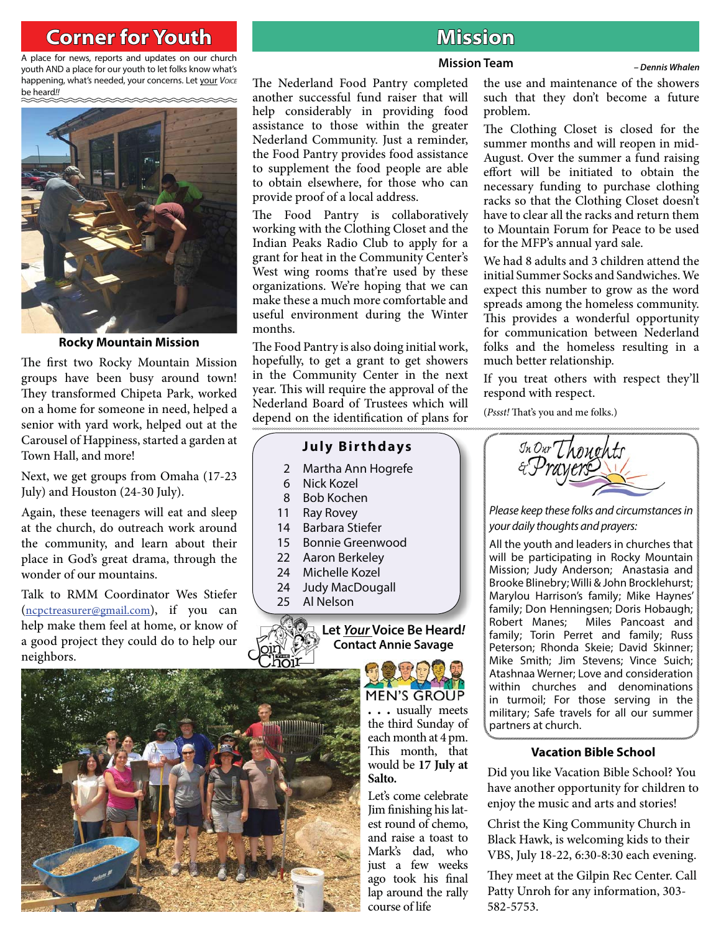# **Corner for Youth original contract of the Mission**

A place for news, reports and updates on our church youth AND a place for our youth to let folks know what's happening, what's needed, your concerns. Let your *Voice* be heard*!!*



**Rocky Mountain Mission**

The first two Rocky Mountain Mission groups have been busy around town! They transformed Chipeta Park, worked on a home for someone in need, helped a senior with yard work, helped out at the Carousel of Happiness, started a garden at Town Hall, and more!

Next, we get groups from Omaha (17-23 July) and Houston (24-30 July).

Again, these teenagers will eat and sleep at the church, do outreach work around the community, and learn about their place in God's great drama, through the wonder of our mountains.

Talk to RMM Coordinator Wes Stiefer (ncpctreasurer@gmail.com), if you can help make them feel at home, or know of a good project they could do to help our neighbors.



### **Mission Team** *– Dennis Whalen*

The Nederland Food Pantry completed another successful fund raiser that will help considerably in providing food assistance to those within the greater Nederland Community. Just a reminder, the Food Pantry provides food assistance to supplement the food people are able to obtain elsewhere, for those who can provide proof of a local address.

The Food Pantry is collaboratively working with the Clothing Closet and the Indian Peaks Radio Club to apply for a grant for heat in the Community Center's West wing rooms that're used by these organizations. We're hoping that we can make these a much more comfortable and useful environment during the Winter months.

The Food Pantry is also doing initial work, hopefully, to get a grant to get showers in the Community Center in the next year. This will require the approval of the Nederland Board of Trustees which will depend on the identification of plans for

# **July Birthdays**<br>
Martha Ann Hogrefe<br>
Nick Kozel<br>
Bob Kochen<br>
Ray Rovey<br>
Barbara Stiefer<br>
Bonnie Greenwood<br>
Aaron Berkeley<br>
Michelle Kozel<br>
Judy MacDougall<br>
Al Nelson<br>
Al Let <u>Your</u> Voice Be Heard

- 2 Martha Ann Hogrefe
- 6 Nick Kozel
- 8 Bob Kochen
- 11 Ray Rovey
- 14 Barbara Stiefer<br>15 Bonnie Greenw
- 15 Bonnie Greenwood
- 22 Aaron Berkeley
- 24 Michelle Kozel
- 24 Judy MacDougall
- 25 Al Nelson



**Let** *Your* **Voice Be Heard***!* **Contact Annie Savage**

> **MEN'S GROUP . . .** usually meets

the third Sunday of each month at 4 pm. This month, that would be **17 July at Salto.** 

Let's come celebrate Jim finishing his latest round of chemo, and raise a toast to Mark's dad, who just a few weeks ago took his final lap around the rally course of life

the use and maintenance of the showers such that they don't become a future problem.

The Clothing Closet is closed for the summer months and will reopen in mid-August. Over the summer a fund raising effort will be initiated to obtain the necessary funding to purchase clothing racks so that the Clothing Closet doesn't have to clear all the racks and return them to Mountain Forum for Peace to be used for the MFP's annual yard sale.

We had 8 adults and 3 children attend the initial Summer Socks and Sandwiches. We expect this number to grow as the word spreads among the homeless community. This provides a wonderful opportunity for communication between Nederland folks and the homeless resulting in a much better relationship.

If you treat others with respect they'll respond with respect.

(*Pssst!* That's you and me folks.)



*Please keep these folks and circumstances in your daily thoughts and prayers:*

All the youth and leaders in churches that will be participating in Rocky Mountain Mission; Judy Anderson; Anastasia and Brooke Blinebry; Willi & John Brocklehurst; Marylou Harrison's family; Mike Haynes' family; Don Henningsen; Doris Hobaugh; Robert Manes; Miles Pancoast and family; Torin Perret and family; Russ Peterson; Rhonda Skeie; David Skinner; Mike Smith; Jim Stevens; Vince Suich; Atashnaa Werner; Love and consideration within churches and denominations in turmoil; For those serving in the military; Safe travels for all our summer partners at church.

### **Vacation Bible School**

Did you like Vacation Bible School? You have another opportunity for children to enjoy the music and arts and stories!

Christ the King Community Church in Black Hawk, is welcoming kids to their VBS, July 18-22, 6:30-8:30 each evening.

They meet at the Gilpin Rec Center. Call Patty Unroh for any information, 303- 582-5753.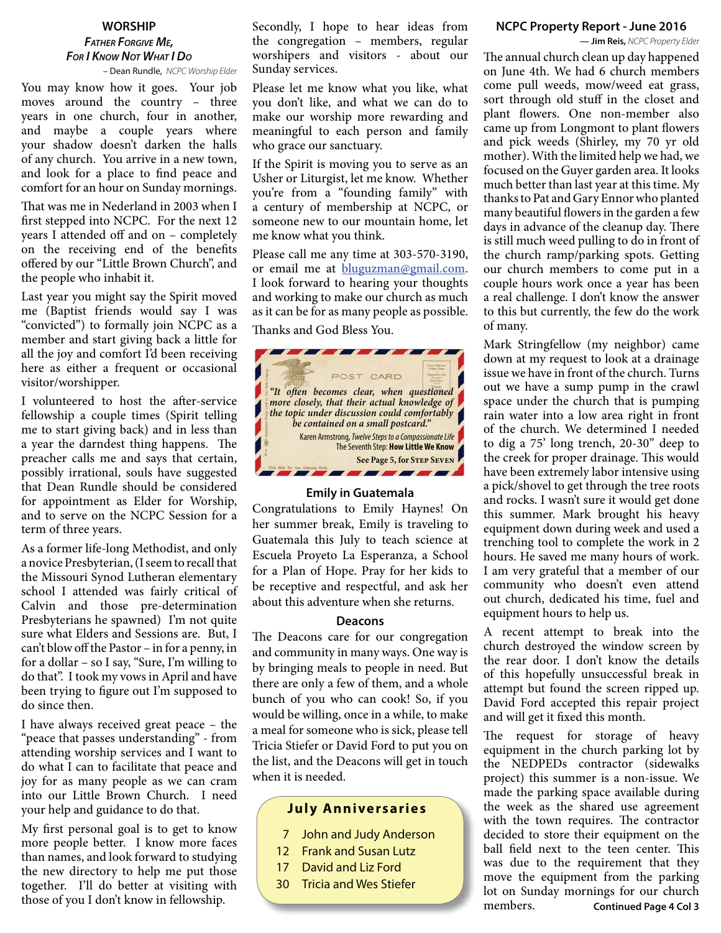## **WORSHIP** *FATHER FORGIVE ME, FOR I KNOW NOT WHAT I DO*

– Dean Rundle, *NCPC Worship Elder*

You may know how it goes. Your job moves around the country – three years in one church, four in another, and maybe a couple years where your shadow doesn't darken the halls of any church. You arrive in a new town, and look for a place to find peace and comfort for an hour on Sunday mornings.

That was me in Nederland in 2003 when I first stepped into NCPC. For the next 12 years I attended off and on – completely on the receiving end of the benefits offered by our "Little Brown Church", and the people who inhabit it.

Last year you might say the Spirit moved me (Baptist friends would say I was "convicted") to formally join NCPC as a member and start giving back a little for all the joy and comfort I'd been receiving here as either a frequent or occasional visitor/worshipper.

I volunteered to host the after-service fellowship a couple times (Spirit telling me to start giving back) and in less than a year the darndest thing happens. The preacher calls me and says that certain, possibly irrational, souls have suggested that Dean Rundle should be considered for appointment as Elder for Worship, and to serve on the NCPC Session for a term of three years.

As a former life-long Methodist, and only a novice Presbyterian, (I seem to recall that the Missouri Synod Lutheran elementary school I attended was fairly critical of Calvin and those pre-determination Presbyterians he spawned) I'm not quite sure what Elders and Sessions are. But, I can't blow off the Pastor – in for a penny, in for a dollar – so I say, "Sure, I'm willing to do that". I took my vows in April and have been trying to figure out I'm supposed to do since then.

I have always received great peace – the "peace that passes understanding" - from attending worship services and I want to do what I can to facilitate that peace and joy for as many people as we can cram into our Little Brown Church. I need your help and guidance to do that.

My first personal goal is to get to know more people better. I know more faces than names, and look forward to studying the new directory to help me put those together. I'll do better at visiting with those of you I don't know in fellowship.

Secondly, I hope to hear ideas from the congregation – members, regular worshipers and visitors - about our Sunday services.

Please let me know what you like, what you don't like, and what we can do to make our worship more rewarding and meaningful to each person and family who grace our sanctuary.

If the Spirit is moving you to serve as an Usher or Liturgist, let me know. Whether you're from a "founding family" with a century of membership at NCPC, or someone new to our mountain home, let me know what you think.

Please call me any time at 303-570-3190, or email me at bluguzman@gmail.com. I look forward to hearing your thoughts and working to make our church as much as it can be for as many people as possible.

Th anks and God Bless You.



### **Emily in Guatemala**

Congratulations to Emily Haynes! On her summer break, Emily is traveling to Guatemala this July to teach science at Escuela Proyeto La Esperanza, a School for a Plan of Hope. Pray for her kids to be receptive and respectful, and ask her about this adventure when she returns.

### **Deacons**

The Deacons care for our congregation and community in many ways. One way is by bringing meals to people in need. But there are only a few of them, and a whole bunch of you who can cook! So, if you would be willing, once in a while, to make a meal for someone who is sick, please tell Tricia Stiefer or David Ford to put you on the list, and the Deacons will get in touch when it is needed.

### **July Anniversaries**

- 7 John and Judy Anderson
- 12 Frank and Susan Lutz
- 17 David and Liz Ford
- 30 Tricia and Wes Stiefer

### **NCPC Property Report - June 2016**

**— Jim Reis,** *NCPC Property Elder*

The annual church clean up day happened on June 4th. We had 6 church members come pull weeds, mow/weed eat grass, sort through old stuff in the closet and plant flowers. One non-member also came up from Longmont to plant flowers and pick weeds (Shirley, my 70 yr old mother). With the limited help we had, we focused on the Guyer garden area. It looks much better than last year at this time. My thanks to Pat and Gary Ennor who planted many beautiful flowers in the garden a few days in advance of the cleanup day. There is still much weed pulling to do in front of the church ramp/parking spots. Getting our church members to come put in a couple hours work once a year has been a real challenge. I don't know the answer to this but currently, the few do the work of many.

Mark Stringfellow (my neighbor) came down at my request to look at a drainage issue we have in front of the church. Turns out we have a sump pump in the crawl space under the church that is pumping rain water into a low area right in front of the church. We determined I needed to dig a 75' long trench, 20-30" deep to the creek for proper drainage. This would have been extremely labor intensive using a pick/shovel to get through the tree roots and rocks. I wasn't sure it would get done this summer. Mark brought his heavy equipment down during week and used a trenching tool to complete the work in 2 hours. He saved me many hours of work. I am very grateful that a member of our community who doesn't even attend out church, dedicated his time, fuel and equipment hours to help us.

A recent attempt to break into the church destroyed the window screen by the rear door. I don't know the details of this hopefully unsuccessful break in attempt but found the screen ripped up. David Ford accepted this repair project and will get it fixed this month.

**Continued Page 4 Col 3** The request for storage of heavy equipment in the church parking lot by the NEDPEDs contractor (sidewalks project) this summer is a non-issue. We made the parking space available during the week as the shared use agreement with the town requires. The contractor decided to store their equipment on the ball field next to the teen center. This was due to the requirement that they move the equipment from the parking lot on Sunday mornings for our church members.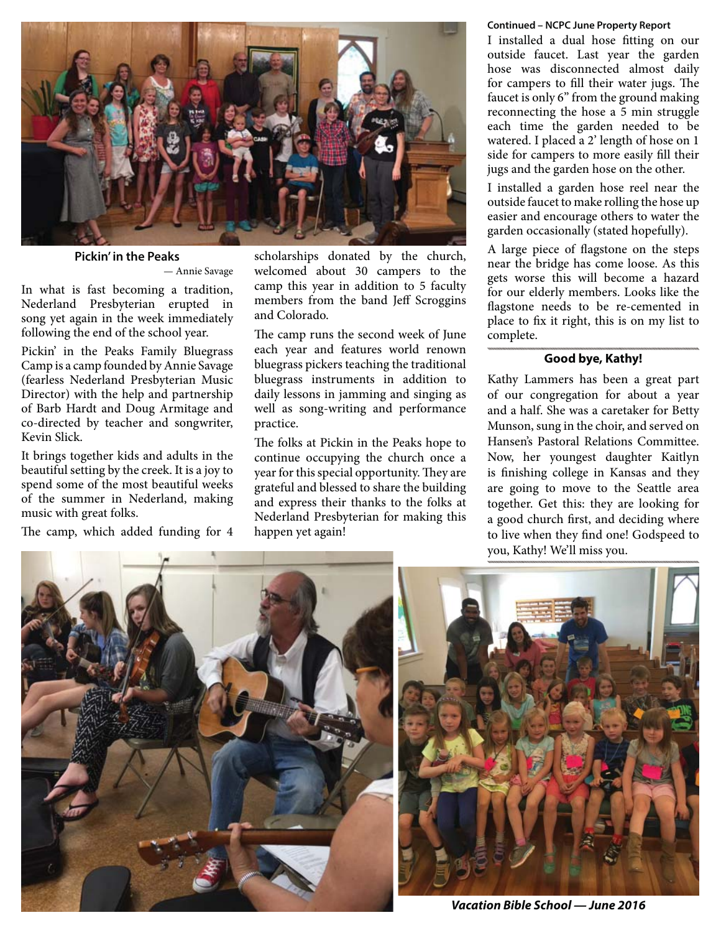

### **Pickin' in the Peaks**

— Annie Savage

In what is fast becoming a tradition, Nederland Presbyterian erupted in song yet again in the week immediately following the end of the school year.

Pickin' in the Peaks Family Bluegrass Camp is a camp founded by Annie Savage (fearless Nederland Presbyterian Music Director) with the help and partnership of Barb Hardt and Doug Armitage and co-directed by teacher and songwriter, Kevin Slick.

It brings together kids and adults in the beautiful setting by the creek. It is a joy to spend some of the most beautiful weeks of the summer in Nederland, making music with great folks.

The camp, which added funding for 4

scholarships donated by the church, welcomed about 30 campers to the camp this year in addition to 5 faculty members from the band Jeff Scroggins and Colorado.

The camp runs the second week of June each year and features world renown bluegrass pickers teaching the traditional bluegrass instruments in addition to daily lessons in jamming and singing as well as song-writing and performance practice.

The folks at Pickin in the Peaks hope to continue occupying the church once a year for this special opportunity. They are grateful and blessed to share the building and express their thanks to the folks at Nederland Presbyterian for making this happen yet again!

### **Continued – NCPC June Property Report**

I installed a dual hose fitting on our outside faucet. Last year the garden hose was disconnected almost daily for campers to fill their water jugs. The faucet is only 6" from the ground making reconnecting the hose a 5 min struggle each time the garden needed to be watered. I placed a 2' length of hose on 1 side for campers to more easily fill their jugs and the garden hose on the other.

I installed a garden hose reel near the outside faucet to make rolling the hose up easier and encourage others to water the garden occasionally (stated hopefully).

A large piece of flagstone on the steps near the bridge has come loose. As this gets worse this will become a hazard for our elderly members. Looks like the flagstone needs to be re-cemented in place to fix it right, this is on my list to complete.

### **Good bye, Kathy!**

Kathy Lammers has been a great part of our congregation for about a year and a half. She was a caretaker for Betty Munson, sung in the choir, and served on Hansen's Pastoral Relations Committee. Now, her youngest daughter Kaitlyn is finishing college in Kansas and they are going to move to the Seattle area together. Get this: they are looking for a good church first, and deciding where to live when they find one! Godspeed to you, Kathy! We'll miss you.



*Vacation Bible School — June 2016*